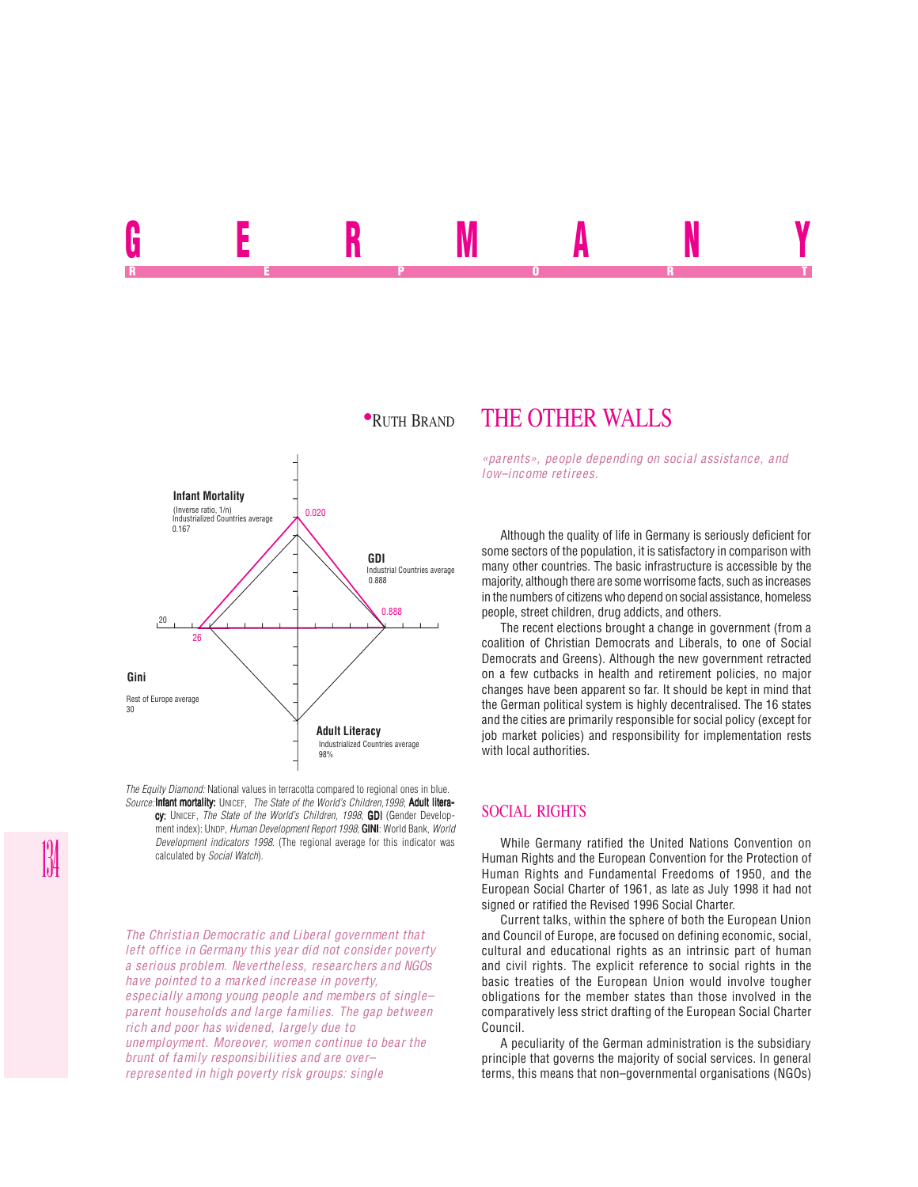<u>germany ivitation in the set of the set of the set of the set of the set of the set of the set of the set of the set of the set of the set of the set of the set of the set of the set of the set of the set of the set of th</u> REPORT OF STATE REPORT OF STATE REPORT OF STATE REPORT OF STATE REPORT OF STATE REPORT OF STATE REPORT OF STATE REPORT OF STATE REPORT OF STATE REPORT OF STATE REPORT OF STATE REPORT OF STATE REPORT OF STATE REPORT OF STAT



*The Equity Diamond:* National values in terracotta compared to regional ones in blue. *Source:* Infant mortality: UNICEF, *The State of the World's Children, 1998*; Adult literacy: UNICEF, *The State of the World's Children, 1998*; GDI (Gender Development index): UNDP, *Human Development Report 1998*; **GINI**: World Bank, World *Development indicators 1998*. (The regional average for this indicator was calculated by *Social Watch*).

*The Christian Democratic and Liberal government that left office in Germany this year did not consider poverty a serious problem. Nevertheless, researchers and NGOs have pointed to a marked increase in poverty, especially among young people and members of single– parent households and large families. The gap between rich and poor has widened, largely due to unemployment. Moreover, women continue to bear the brunt of family responsibilities and are over– represented in high poverty risk groups: single*

# **PRUTH BRAND THE OTHER WALLS**

*«parents», people depending on social assistance, and low–income retirees.*

Although the quality of life in Germany is seriously deficient for some sectors of the population, it is satisfactory in comparison with many other countries. The basic infrastructure is accessible by the majority, although there are some worrisome facts, such as increases in the numbers of citizens who depend on social assistance, homeless people, street children, drug addicts, and others.

The recent elections brought a change in government (from a coalition of Christian Democrats and Liberals, to one of Social Democrats and Greens). Although the new government retracted on a few cutbacks in health and retirement policies, no major changes have been apparent so far. It should be kept in mind that the German political system is highly decentralised. The 16 states and the cities are primarily responsible for social policy (except for job market policies) and responsibility for implementation rests with local authorities.

### SOCIAL RIGHTS

While Germany ratified the United Nations Convention on Human Rights and the European Convention for the Protection of Human Rights and Fundamental Freedoms of 1950, and the European Social Charter of 1961, as late as July 1998 it had not signed or ratified the Revised 1996 Social Charter.

Current talks, within the sphere of both the European Union and Council of Europe, are focused on defining economic, social, cultural and educational rights as an intrinsic part of human and civil rights. The explicit reference to social rights in the basic treaties of the European Union would involve tougher obligations for the member states than those involved in the comparatively less strict drafting of the European Social Charter Council.

A peculiarity of the German administration is the subsidiary principle that governs the majority of social services. In general terms, this means that non–governmental organisations (NGOs)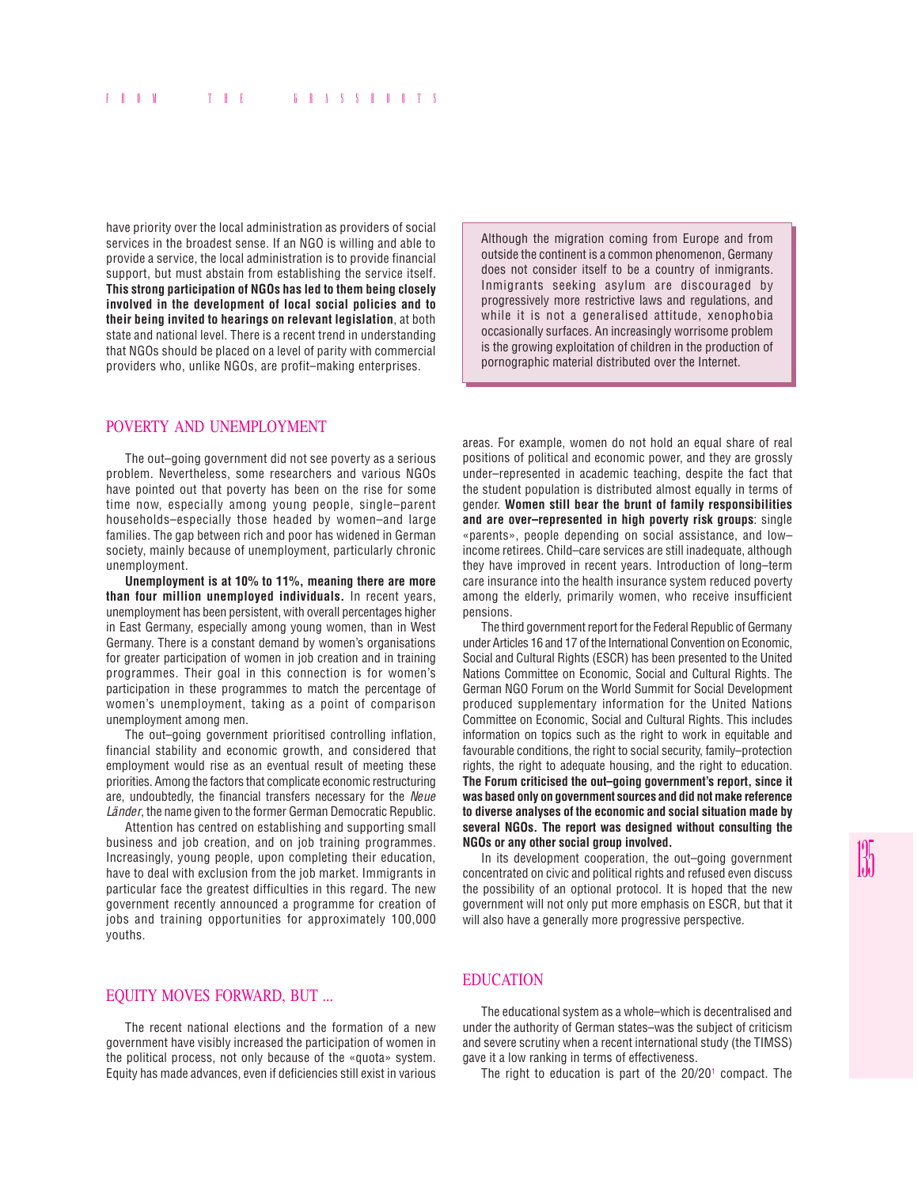have priority over the local administration as providers of social services in the broadest sense. If an NGO is willing and able to provide a service, the local administration is to provide financial support, but must abstain from establishing the service itself. **This strong participation of NGOs has led to them being closely involved in the development of local social policies and to their being invited to hearings on relevant legislation**, at both state and national level. There is a recent trend in understanding that NGOs should be placed on a level of parity with commercial providers who, unlike NGOs, are profit–making enterprises.

POVERTY AND UNEMPLOYMENT

The out–going government did not see poverty as a serious problem. Nevertheless, some researchers and various NGOs have pointed out that poverty has been on the rise for some time now, especially among young people, single–parent households–especially those headed by women–and large families. The gap between rich and poor has widened in German society, mainly because of unemployment, particularly chronic unemployment.

**Unemployment is at 10% to 11%, meaning there are more than four million unemployed individuals.** In recent years, unemployment has been persistent, with overall percentages higher in East Germany, especially among young women, than in West Germany. There is a constant demand by women's organisations for greater participation of women in job creation and in training programmes. Their goal in this connection is for women's participation in these programmes to match the percentage of women's unemployment, taking as a point of comparison unemployment among men.

The out–going government prioritised controlling inflation, financial stability and economic growth, and considered that employment would rise as an eventual result of meeting these priorities. Among the factors that complicate economic restructuring are, undoubtedly, the financial transfers necessary for the *Neue Länder*, the name given to the former German Democratic Republic.

Attention has centred on establishing and supporting small business and job creation, and on job training programmes. Increasingly, young people, upon completing their education, have to deal with exclusion from the job market. Immigrants in particular face the greatest difficulties in this regard. The new government recently announced a programme for creation of jobs and training opportunities for approximately 100,000 youths.

### EQUITY MOVES FORWARD, BUT ...

The recent national elections and the formation of a new government have visibly increased the participation of women in the political process, not only because of the «quota» system. Equity has made advances, even if deficiencies still exist in various Although the migration coming from Europe and from outside the continent is a common phenomenon, Germany does not consider itself to be a country of inmigrants. Inmigrants seeking asylum are discouraged by progressively more restrictive laws and regulations, and while it is not a generalised attitude, xenophobia occasionally surfaces. An increasingly worrisome problem is the growing exploitation of children in the production of pornographic material distributed over the Internet.

areas. For example, women do not hold an equal share of real positions of political and economic power, and they are grossly under–represented in academic teaching, despite the fact that the student population is distributed almost equally in terms of gender. **Women still bear the brunt of family responsibilities and are over–represented in high poverty risk groups**: single «parents», people depending on social assistance, and low– income retirees. Child–care services are still inadequate, although they have improved in recent years. Introduction of long–term care insurance into the health insurance system reduced poverty among the elderly, primarily women, who receive insufficient pensions.

The third government report for the Federal Republic of Germany under Articles 16 and 17 of the International Convention on Economic, Social and Cultural Rights (ESCR) has been presented to the United Nations Committee on Economic, Social and Cultural Rights. The German NGO Forum on the World Summit for Social Development produced supplementary information for the United Nations Committee on Economic, Social and Cultural Rights. This includes information on topics such as the right to work in equitable and favourable conditions, the right to social security, family–protection rights, the right to adequate housing, and the right to education. **The Forum criticised the out–going government's report, since it was based only on government sources and did not make reference to diverse analyses of the economic and social situation made by several NGOs. The report was designed without consulting the NGOs or any other social group involved.**

In its development cooperation, the out–going government concentrated on civic and political rights and refused even discuss the possibility of an optional protocol. It is hoped that the new government will not only put more emphasis on ESCR, but that it will also have a generally more progressive perspective.

#### EDUCATION

The educational system as a whole–which is decentralised and under the authority of German states–was the subject of criticism and severe scrutiny when a recent international study (the TIMSS) gave it a low ranking in terms of effectiveness.

The right to education is part of the  $20/20^{\circ}$  compact. The